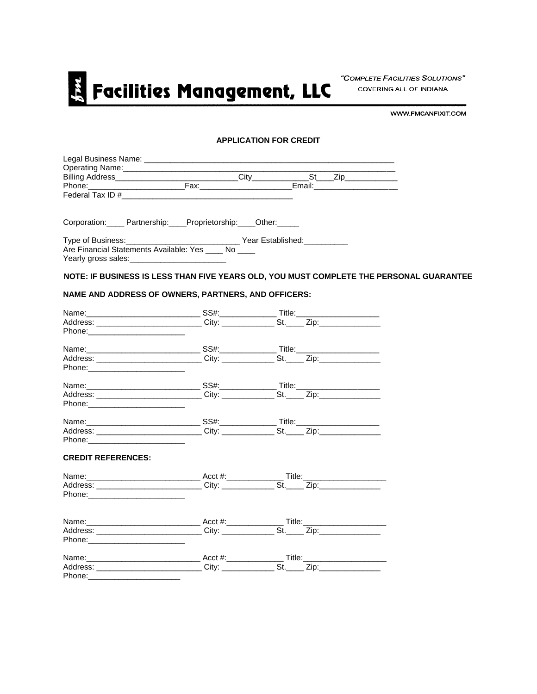

"COMPLETE FACILITIES SOLUTIONS" COVERING ALL OF INDIANA

WWW.FMCANFIXIT.COM

### **APPLICATION FOR CREDIT**

|                                                                                                                                                                                                                                | Corporation: Partnership: Proprietorship: Other:                                                     |  |                                                                                         |
|--------------------------------------------------------------------------------------------------------------------------------------------------------------------------------------------------------------------------------|------------------------------------------------------------------------------------------------------|--|-----------------------------------------------------------------------------------------|
|                                                                                                                                                                                                                                | Type of Business:__________________________________Year Established:____________                     |  |                                                                                         |
|                                                                                                                                                                                                                                | Are Financial Statements Available: Yes ____ No ____                                                 |  |                                                                                         |
|                                                                                                                                                                                                                                |                                                                                                      |  | NOTE: IF BUSINESS IS LESS THAN FIVE YEARS OLD, YOU MUST COMPLETE THE PERSONAL GUARANTEE |
|                                                                                                                                                                                                                                | NAME AND ADDRESS OF OWNERS, PARTNERS, AND OFFICERS:                                                  |  |                                                                                         |
|                                                                                                                                                                                                                                |                                                                                                      |  |                                                                                         |
|                                                                                                                                                                                                                                |                                                                                                      |  |                                                                                         |
|                                                                                                                                                                                                                                |                                                                                                      |  |                                                                                         |
|                                                                                                                                                                                                                                |                                                                                                      |  |                                                                                         |
|                                                                                                                                                                                                                                | Address: _____________________________City: ________________St._____Zip:____________________________ |  |                                                                                         |
|                                                                                                                                                                                                                                |                                                                                                      |  |                                                                                         |
|                                                                                                                                                                                                                                |                                                                                                      |  |                                                                                         |
|                                                                                                                                                                                                                                |                                                                                                      |  |                                                                                         |
|                                                                                                                                                                                                                                |                                                                                                      |  |                                                                                         |
|                                                                                                                                                                                                                                |                                                                                                      |  |                                                                                         |
|                                                                                                                                                                                                                                |                                                                                                      |  |                                                                                         |
|                                                                                                                                                                                                                                |                                                                                                      |  |                                                                                         |
| <b>CREDIT REFERENCES:</b>                                                                                                                                                                                                      |                                                                                                      |  |                                                                                         |
|                                                                                                                                                                                                                                |                                                                                                      |  |                                                                                         |
|                                                                                                                                                                                                                                |                                                                                                      |  |                                                                                         |
|                                                                                                                                                                                                                                |                                                                                                      |  |                                                                                         |
|                                                                                                                                                                                                                                |                                                                                                      |  |                                                                                         |
|                                                                                                                                                                                                                                | Address: ______________________________City: ________________St.______ Zip:_________________________ |  |                                                                                         |
| Phone: The Contract of the Contract of the Contract of the Contract of the Contract of the Contract of the Contract of the Contract of the Contract of the Contract of the Contract of the Contract of the Contract of the Con |                                                                                                      |  |                                                                                         |
|                                                                                                                                                                                                                                |                                                                                                      |  |                                                                                         |
|                                                                                                                                                                                                                                | Address: _____________________________City: ________________St.______Zip:___________________________ |  |                                                                                         |
|                                                                                                                                                                                                                                |                                                                                                      |  |                                                                                         |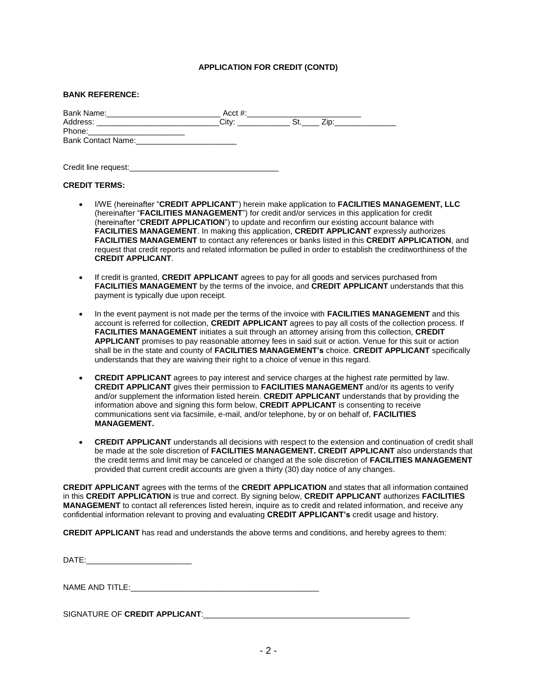## **APPLICATION FOR CREDIT (CONTD)**

#### **BANK REFERENCE:**

| Bank Name:                | $Acct \#$ : |  |
|---------------------------|-------------|--|
| Address:                  | Citv:       |  |
| Phone:                    |             |  |
| <b>Bank Contact Name:</b> |             |  |
|                           |             |  |

Credit line request:

#### **CREDIT TERMS:**

- I/WE (hereinafter "**CREDIT APPLICANT**") herein make application to **FACILITIES MANAGEMENT, LLC** (hereinafter "**FACILITIES MANAGEMENT**") for credit and/or services in this application for credit (hereinafter "**CREDIT APPLICATION**") to update and reconfirm our existing account balance with **FACILITIES MANAGEMENT**. In making this application, **CREDIT APPLICANT** expressly authorizes **FACILITIES MANAGEMENT** to contact any references or banks listed in this **CREDIT APPLICATION**, and request that credit reports and related information be pulled in order to establish the creditworthiness of the **CREDIT APPLICANT**.
- If credit is granted, **CREDIT APPLICANT** agrees to pay for all goods and services purchased from **FACILITIES MANAGEMENT** by the terms of the invoice, and **CREDIT APPLICANT** understands that this payment is typically due upon receipt.
- In the event payment is not made per the terms of the invoice with **FACILITIES MANAGEMENT** and this account is referred for collection, **CREDIT APPLICANT** agrees to pay all costs of the collection process. If **FACILITIES MANAGEMENT** initiates a suit through an attorney arising from this collection, **CREDIT APPLICANT** promises to pay reasonable attorney fees in said suit or action. Venue for this suit or action shall be in the state and county of **FACILITIES MANAGEMENT's** choice. **CREDIT APPLICANT** specifically understands that they are waiving their right to a choice of venue in this regard.
- **CREDIT APPLICANT** agrees to pay interest and service charges at the highest rate permitted by law. **CREDIT APPLICANT** gives their permission to **FACILITIES MANAGEMENT** and/or its agents to verify and/or supplement the information listed herein. **CREDIT APPLICANT** understands that by providing the information above and signing this form below, **CREDIT APPLICANT** is consenting to receive communications sent via facsimile, e-mail, and/or telephone, by or on behalf of, **FACILITIES MANAGEMENT.**
- **CREDIT APPLICANT** understands all decisions with respect to the extension and continuation of credit shall be made at the sole discretion of **FACILITIES MANAGEMENT. CREDIT APPLICANT** also understands that the credit terms and limit may be canceled or changed at the sole discretion of **FACILITIES MANAGEMENT** provided that current credit accounts are given a thirty (30) day notice of any changes.

**CREDIT APPLICANT** agrees with the terms of the **CREDIT APPLICATION** and states that all information contained in this **CREDIT APPLICATION** is true and correct. By signing below, **CREDIT APPLICANT** authorizes **FACILITIES MANAGEMENT** to contact all references listed herein, inquire as to credit and related information, and receive any confidential information relevant to proving and evaluating **CREDIT APPLICANT's** credit usage and history.

**CREDIT APPLICANT** has read and understands the above terms and conditions, and hereby agrees to them:

DATE:

NAME AND TITLE:

SIGNATURE OF CREDIT APPLICANT: